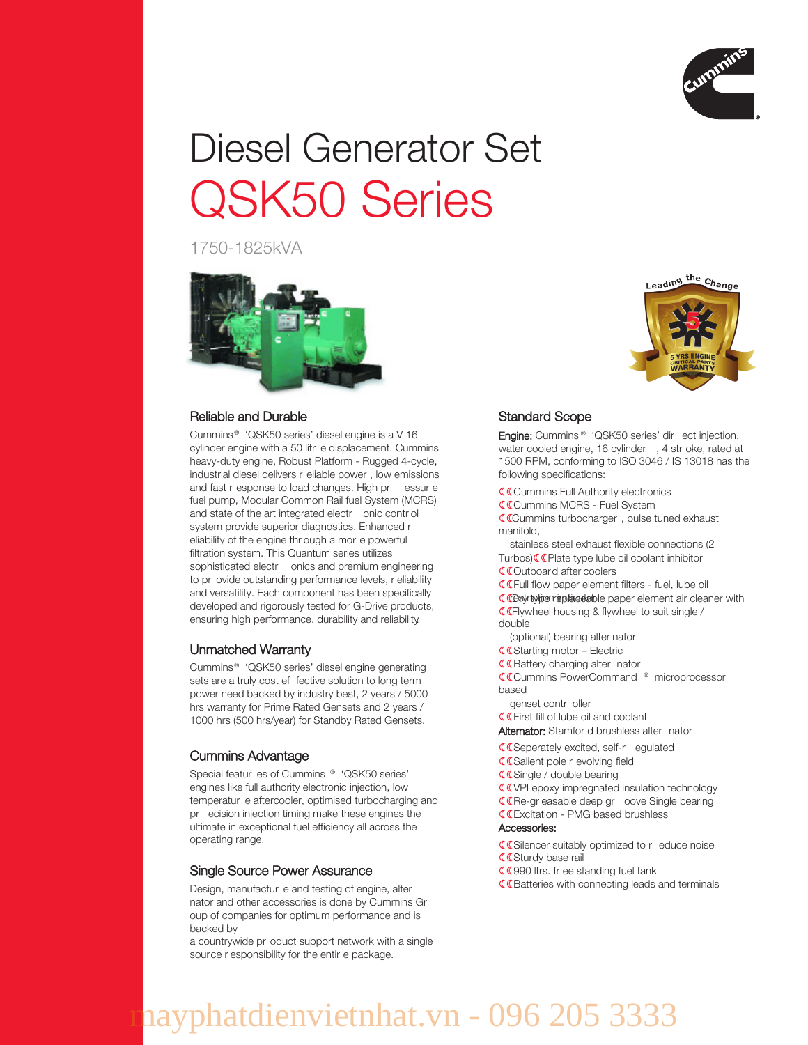

# Diesel Generator Set QSK50 Series

1750-1825kVA



## Reliable and Durable

Cummins ® 'QSK50 series' diesel engine is a V 16 cylinder engine with a 50 litr e displacement. Cummins heavy-duty engine, Robust Platform - Rugged 4-cycle, industrial diesel delivers r eliable power , low emissions and fast r esponse to load changes. High pr essur e fuel pump, Modular Common Rail fuel System (MCRS) and state of the art integrated electr onic contr ol system provide superior diagnostics. Enhanced r eliability of the engine thr ough a mor e powerful filtration system. This Quantum series utilizes sophisticated electr onics and premium engineering to pr ovide outstanding performance levels, r eliability and versatility. Each component has been specifically developed and rigorously tested for G-Drive products, ensuring high performance, durability and reliability.

## Unmatched Warranty

Cummins ® 'QSK50 series' diesel engine generating sets are a truly cost ef fective solution to long term power need backed by industry best, 2 years / 5000 hrs warranty for Prime Rated Gensets and 2 years / 1000 hrs (500 hrs/year) for Standby Rated Gensets.

## Cummins Advantage

Special featur es of Cummins ® 'QSK50 series' engines like full authority electronic injection, low temperatur e aftercooler, optimised turbocharging and pr ecision injection timing make these engines the ultimate in exceptional fuel efficiency all across the operating range.

#### Single Source Power Assurance

Design, manufactur e and testing of engine, alter nator and other accessories is done by Cummins Gr oup of companies for optimum performance and is backed by

a countrywide pr oduct support network with a single source r esponsibility for the entir e package.



# Standard Scope

Engine: Cummins<sup>®</sup> 'QSK50 series' dir ect injection, water cooled engine, 16 cylinder , 4 str oke, rated at 1500 RPM, conforming to ISO 3046 / IS 13018 has the following specifications:

**CCummins Full Authority electronics** 

Cummins MCRS - Fuel System

Cummins turbocharger , pulse tuned exhaust manifold,

stainless steel exhaust flexible connections (2 Turbos) **C**Plate type lube oil coolant inhibitor

Outboard after coolers

Full flow paper element filters - fuel, lube oil

**C** CBstriction endicateble paper element air cleaner with Flywheel housing & flywheel to suit single /

double

(optional) bearing alter nator

**C**C Starting motor - Electric

**C**Battery charging alter nator

Cummins PowerCommand ® microprocessor based

genset contr oller

First fill of lube oil and coolant

Alternator: Stamfor d brushless alter nator

**C**Seperately excited, self-r egulated

**C**Salient pole r evolving field

**CCSingle / double bearing** 

**COVPI** epoxy impregnated insulation technology

**CE**Re-gr easable deep gr oove Single bearing

Excitation - PMG based brushless

# Accessories:

- **C**Silencer suitably optimized to r educe noise **CCSturdy base rail**
- CC990 ltrs. fr ee standing fuel tank

**CE**atteries with connecting leads and terminals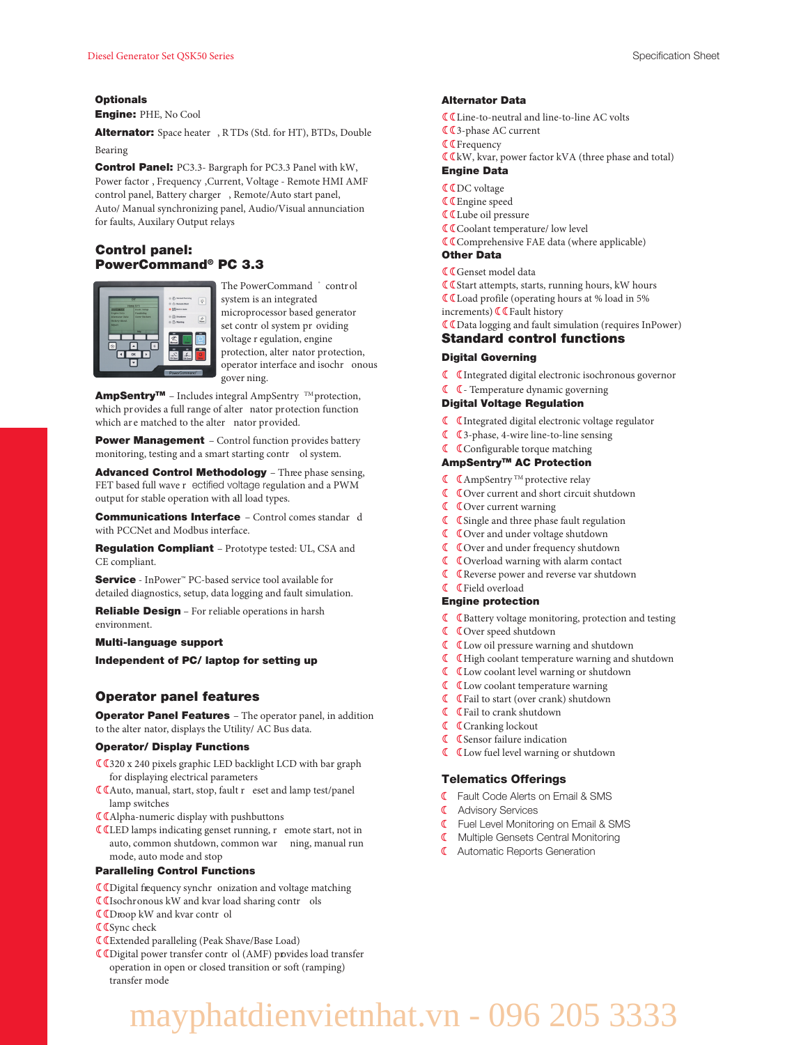#### **Optionals**

Engine: PHE, No Cool

Alternator: Space heater , R TDs (Std. for HT), BTDs, Double Bearing

Control Panel: PC3.3- Bargraph for PC3.3 Panel with kW, Power factor , Frequency ,Current, Voltage - Remote HMI AMF control panel, Battery charger , Remote/Auto start panel, Auto/ Manual synchronizing panel, Audio/Visual annunciation for faults, Auxilary Output relays

## Control panel: PowerCommand® PC 3.3



The PowerCommand <sup>\*</sup> control system is an integrated microprocessor based generator set contr ol system pr oviding voltage r egulation, engine protection, alter nator protection, operator interface and isochr onous gover ning.

AmpSentry<sup>™</sup> - Includes integral AmpSentry<sup>™</sup> protection, which provides a full range of alter nator protection function which are matched to the alter nator provided.

Power Management - Control function provides battery monitoring, testing and a smart starting contr ol system.

Advanced Control Methodology - Three phase sensing, FET based full wave r ectified voltage regulation and a PWM output for stable operation with all load types.

Communications Interface – Control comes standar d with PCCNet and Modbus interface.

Regulation Compliant – Prototype tested: UL, CSA and CE compliant.

Service - InPower<sup>™</sup> PC-based service tool available for detailed diagnostics, setup, data logging and fault simulation.

Reliable Design - For reliable operations in harsh environment.

#### Multi-language support

Independent of PC/ laptop for setting up

### Operator panel features

**Operator Panel Features** - The operator panel, in addition to the alter nator, displays the Utility/ AC Bus data.

#### Operator/ Display Functions

- 320 x 240 pixels graphic LED backlight LCD with bar graph for displaying electrical parameters
- Auto, manual, start, stop, fault r eset and lamp test/panel lamp switches
- Alpha-numeric display with pushbuttons
- LED lamps indicating genset running, r emote start, not in auto, common shutdown, common war ning, manual run mode, auto mode and stop

#### Paralleling Control Functions

- Digital frequency synchr onization and voltage matching
- Isochronous kW and kvar load sharing contr ols
- Droop kW and kvar contr ol
- **C** Cync check
- Extended paralleling (Peak Shave/Base Load)
- Digital power transfer contr ol (AMF) provides load transfer operation in open or closed transition or soft (ramping) transfer mode

#### Alternator Data

- Line-to-neutral and line-to-line AC volts
- 3-phase AC current
- **C C** Frequency
- **C**kW, kvar, power factor kVA (three phase and total)

#### Engine Data

- **CCDC** voltage
- Engine speed
- Lube oil pressure
- **CO** Coolant temperature/ low level
- Comprehensive FAE data (where applicable)

#### Other Data

- **C** Genset model data
- **C** Cstart attempts, starts, running hours, kW hours
- Load profile (operating hours at % load in 5%
- increments)  $\mathbb C$  Fault history
- Data logging and fault simulation (requires InPower)

#### Standard control functions

#### Digital Governing

- Integrated digital electronic isochronous governor
- Temperature dynamic governing

#### Digital Voltage Regulation

- Integrated digital electronic voltage regulator
- 3-phase, 4-wire line-to-line sensing
- **C** Configurable torque matching

#### AmpSentryTM AC Protection

- $\mathbb C$   $\mathbb C$  AmpSentry <sup>TM</sup> protective relay
- Over current and short circuit shutdown
- Over current warning
- **C** Csingle and three phase fault regulation
- **C** COver and under voltage shutdown
- Over and under frequency shutdown
- **C** COverload warning with alarm contact
- Reverse power and reverse var shutdown
- Field overload

#### Engine protection

- **C** C Battery voltage monitoring, protection and testing
- $\mathbb C$  Cover speed shutdown
- Low oil pressure warning and shutdown
- High coolant temperature warning and shutdown
- Low coolant level warning or shutdown
- Low coolant temperature warning
- Fail to start (over crank) shutdown
- Fail to crank shutdown
- **C** Cranking lockout
- **C** CSensor failure indication
- Low fuel level warning or shutdown

#### Telematics Offerings

- Fault Code Alerts on Email & SMS
- **C** Advisory Services
- **C** Fuel Level Monitoring on Email & SMS
- **K** Multiple Gensets Central Monitoring
- **C** Automatic Reports Generation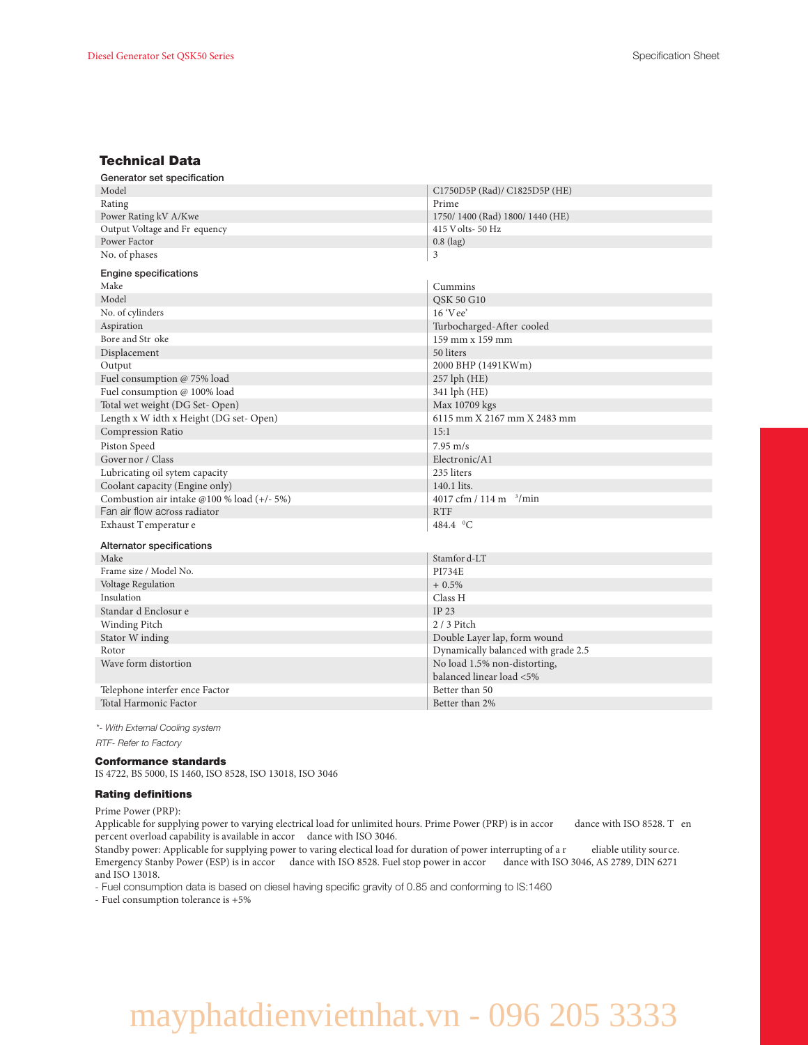# Technical Data

| Generator set specification                |                                     |  |  |
|--------------------------------------------|-------------------------------------|--|--|
| Model                                      | C1750D5P (Rad)/ C1825D5P (HE)       |  |  |
| Rating                                     | Prime                               |  |  |
| Power Rating kV A/Kwe                      | 1750/1400 (Rad) 1800/1440 (HE)      |  |  |
| Output Voltage and Fr equency              | 415 V olts-50 Hz                    |  |  |
| Power Factor                               | $0.8$ (lag)                         |  |  |
| No. of phases                              | 3                                   |  |  |
| <b>Engine specifications</b>               |                                     |  |  |
| Make                                       | Cummins                             |  |  |
| Model                                      | QSK 50 G10                          |  |  |
| No. of cylinders                           | $16 \text{ V}$ ee'                  |  |  |
| Aspiration                                 | Turbocharged-After cooled           |  |  |
| Bore and Str oke                           | 159 mm x 159 mm                     |  |  |
| Displacement                               | 50 liters                           |  |  |
| Output                                     | 2000 BHP (1491KWm)                  |  |  |
| Fuel consumption @ 75% load                | $257$ lph $(HE)$                    |  |  |
| Fuel consumption @ 100% load               | 341 lph (HE)                        |  |  |
| Total wet weight (DG Set-Open)             | Max 10709 kgs                       |  |  |
| Length x W idth x Height (DG set-Open)     | 6115 mm X 2167 mm X 2483 mm         |  |  |
| Compression Ratio                          | 15:1                                |  |  |
| Piston Speed                               | $7.95 \text{ m/s}$                  |  |  |
| Governor / Class                           | Electronic/A1                       |  |  |
| Lubricating oil sytem capacity             | 235 liters                          |  |  |
| Coolant capacity (Engine only)             | 140.1 lits.                         |  |  |
| Combustion air intake @100 % load (+/- 5%) | 4017 cfm / 114 m $\frac{3}{min}$    |  |  |
| Fan air flow across radiator               | <b>RTF</b>                          |  |  |
| Exhaust Temperatur e                       | 484.4 °C                            |  |  |
| Alternator specifications                  |                                     |  |  |
| Make                                       | Stamfor d-LT                        |  |  |
| Frame size / Model No.                     | <b>PI734E</b>                       |  |  |
| Voltage Regulation                         | $+0.5%$                             |  |  |
| Insulation                                 | Class H                             |  |  |
| Standar d Enclosur e                       | IP 23                               |  |  |
| Winding Pitch                              | $2/3$ Pitch                         |  |  |
| Stator W inding                            | Double Layer lap, form wound        |  |  |
| Rotor                                      | Dynamically balanced with grade 2.5 |  |  |
| Wave form distortion                       | No load 1.5% non-distorting,        |  |  |
|                                            | balanced linear load <5%            |  |  |
| Telephone interfer ence Factor             | Better than 50                      |  |  |
| Total Harmonic Factor                      | Better than 2%                      |  |  |
|                                            |                                     |  |  |

*\*- With External Cooling system RTF- Refer to Factory*

#### Conformance standards

IS 4722, BS 5000, IS 1460, ISO 8528, ISO 13018, ISO 3046

#### Rating definitions

Prime Power (PRP):

Applicable for supplying power to varying electrical load for unlimited hours. Prime Power (PRP) is in accor dance with ISO 8528. T en percent overload capability is available in accor dance with ISO 3046.

Standby power: Applicable for supplying power to varing electical load for duration of power interrupting of a r eliable utility source. Emergency Stanby Power (ESP) is in accor dance with ISO 8528. Fuel stop power in accor dance with ISO 3046, AS 2789, DIN 6271 and ISO 13018.

- Fuel consumption data is based on diesel having specific gravity of 0.85 and conforming to IS:1460

- Fuel consumption tolerance is +5%